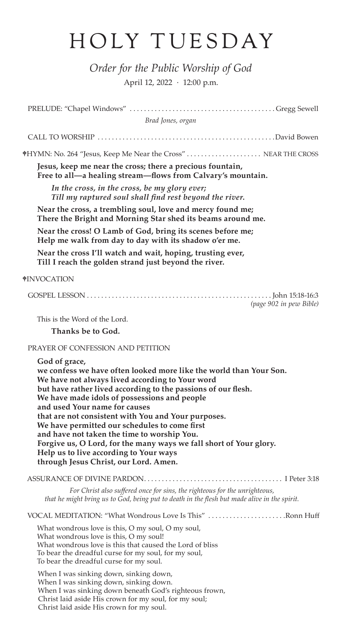## HOLY TUESDAY

*Order for the Public Worship of God* April 12, 2022 · 12:00 p.m.

| Brad Jones, organ                                                                                                                                                                                                                                                                                                                                                                                                                                                                                                                                                                                        |                         |
|----------------------------------------------------------------------------------------------------------------------------------------------------------------------------------------------------------------------------------------------------------------------------------------------------------------------------------------------------------------------------------------------------------------------------------------------------------------------------------------------------------------------------------------------------------------------------------------------------------|-------------------------|
|                                                                                                                                                                                                                                                                                                                                                                                                                                                                                                                                                                                                          |                         |
| *HYMN: No. 264 "Jesus, Keep Me Near the Cross"  NEAR THE CROSS                                                                                                                                                                                                                                                                                                                                                                                                                                                                                                                                           |                         |
| Jesus, keep me near the cross; there a precious fountain,<br>Free to all—a healing stream—flows from Calvary's mountain.                                                                                                                                                                                                                                                                                                                                                                                                                                                                                 |                         |
| In the cross, in the cross, be my glory ever;<br>Till my raptured soul shall find rest beyond the river.                                                                                                                                                                                                                                                                                                                                                                                                                                                                                                 |                         |
| Near the cross, a trembling soul, love and mercy found me;<br>There the Bright and Morning Star shed its beams around me.                                                                                                                                                                                                                                                                                                                                                                                                                                                                                |                         |
| Near the cross! O Lamb of God, bring its scenes before me;<br>Help me walk from day to day with its shadow o'er me.                                                                                                                                                                                                                                                                                                                                                                                                                                                                                      |                         |
| Near the cross I'll watch and wait, hoping, trusting ever,<br>Till I reach the golden strand just beyond the river.                                                                                                                                                                                                                                                                                                                                                                                                                                                                                      |                         |
| †INVOCATION                                                                                                                                                                                                                                                                                                                                                                                                                                                                                                                                                                                              |                         |
|                                                                                                                                                                                                                                                                                                                                                                                                                                                                                                                                                                                                          | (page 902 in pew Bible) |
| This is the Word of the Lord.                                                                                                                                                                                                                                                                                                                                                                                                                                                                                                                                                                            |                         |
| Thanks be to God.                                                                                                                                                                                                                                                                                                                                                                                                                                                                                                                                                                                        |                         |
| PRAYER OF CONFESSION AND PETITION                                                                                                                                                                                                                                                                                                                                                                                                                                                                                                                                                                        |                         |
| God of grace,<br>we confess we have often looked more like the world than Your Son.<br>We have not always lived according to Your word<br>but have rather lived according to the passions of our flesh.<br>We have made idols of possessions and people<br>and used Your name for causes<br>that are not consistent with You and Your purposes.<br>We have permitted our schedules to come first<br>and have not taken the time to worship You.<br>Forgive us, O Lord, for the many ways we fall short of Your glory.<br>Help us to live according to Your ways<br>through Jesus Christ, our Lord. Amen. |                         |
|                                                                                                                                                                                                                                                                                                                                                                                                                                                                                                                                                                                                          |                         |
| For Christ also suffered once for sins, the righteous for the unrighteous,<br>that he might bring us to God, being put to death in the flesh but made alive in the spirit.                                                                                                                                                                                                                                                                                                                                                                                                                               |                         |
| VOCAL MEDITATION: "What Wondrous Love Is This" Ronn Huff                                                                                                                                                                                                                                                                                                                                                                                                                                                                                                                                                 |                         |
| What wondrous love is this, O my soul, O my soul,<br>What wondrous love is this, O my soul!<br>What wondrous love is this that caused the Lord of bliss<br>To bear the dreadful curse for my soul, for my soul,<br>To bear the dreadful curse for my soul.                                                                                                                                                                                                                                                                                                                                               |                         |
| When I was sinking down, sinking down,<br>When I was sinking down, sinking down.<br>When I was sinking down beneath God's righteous frown,<br>Christ laid aside His crown for my soul, for my soul;<br>Christ laid aside His crown for my soul.                                                                                                                                                                                                                                                                                                                                                          |                         |